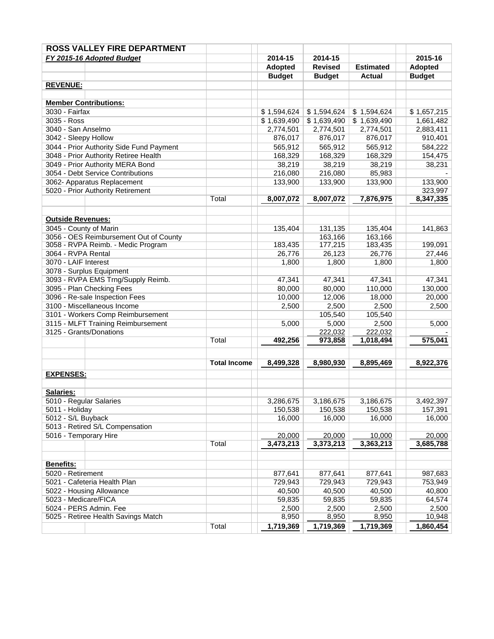|                          | FY 2015-16 Adopted Budget                |                     | 2014-15             | 2014-15        |                     | 2015-16             |
|--------------------------|------------------------------------------|---------------------|---------------------|----------------|---------------------|---------------------|
|                          |                                          |                     | <b>Adopted</b>      | <b>Revised</b> | <b>Estimated</b>    | <b>Adopted</b>      |
|                          |                                          |                     | <b>Budget</b>       | <b>Budget</b>  | <b>Actual</b>       | <b>Budget</b>       |
| <b>REVENUE:</b>          |                                          |                     |                     |                |                     |                     |
|                          |                                          |                     |                     |                |                     |                     |
|                          | <b>Member Contributions:</b>             |                     |                     |                |                     |                     |
| 3030 - Fairfax           |                                          |                     | \$1,594,624         | \$1,594,624    | \$1,594,624         | \$1,657,215         |
| 3035 - Ross              |                                          |                     | \$1,639,490         | \$1,639,490    | \$1,639,490         | 1,661,482           |
| 3040 - San Anselmo       |                                          |                     | 2,774,501           | 2,774,501      | 2,774,501           | 2,883,411           |
| 3042 - Sleepy Hollow     |                                          |                     | 876,017             | 876,017        | 876,017             | 910,401             |
|                          | 3044 - Prior Authority Side Fund Payment |                     | 565,912             | 565,912        | 565,912             | 584,222             |
|                          | 3048 - Prior Authority Retiree Health    |                     | 168,329             | 168,329        | 168,329             | 154,475             |
|                          | 3049 - Prior Authority MERA Bond         |                     | 38,219              | 38,219         | 38,219              | 38,231              |
|                          | 3054 - Debt Service Contributions        |                     | 216,080             | 216,080        | 85,983              |                     |
|                          | 3062- Apparatus Replacement              |                     | 133,900             | 133,900        | 133,900             | 133,900             |
|                          | 5020 - Prior Authority Retirement        |                     |                     |                |                     | 323,997             |
|                          |                                          | Total               | 8,007,072           | 8,007,072      | 7,876,975           | 8,347,335           |
| <b>Outside Revenues:</b> |                                          |                     |                     |                |                     |                     |
| 3045 - County of Marin   |                                          |                     | 135,404             | 131,135        | 135,404             | 141,863             |
|                          | 3056 - OES Reimbursement Out of County   |                     |                     | 163,166        | 163,166             |                     |
|                          | 3058 - RVPA Reimb. - Medic Program       |                     | 183,435             | 177,215        | 183,435             | 199,091             |
| 3064 - RVPA Rental       |                                          |                     | 26,776              | 26,123         | 26,776              | 27,446              |
| 3070 - LAIF Interest     |                                          |                     | 1,800               | 1,800          | 1,800               | 1,800               |
|                          | 3078 - Surplus Equipment                 |                     |                     |                |                     |                     |
|                          | 3093 - RVPA EMS Trng/Supply Reimb.       |                     | 47,341              | 47,341         | 47,341              | 47,341              |
|                          | 3095 - Plan Checking Fees                |                     | 80,000              | 80,000         | 110,000             | 130,000             |
|                          | 3096 - Re-sale Inspection Fees           |                     | 10,000              | 12,006         | 18,000              | 20,000              |
|                          | 3100 - Miscellaneous Income              |                     | 2,500               | 2,500          | 2,500               | 2,500               |
|                          | 3101 - Workers Comp Reimbursement        |                     |                     | 105,540        | 105,540             |                     |
|                          | 3115 - MLFT Training Reimbursement       |                     | 5,000               | 5,000          | 2,500               | 5,000               |
|                          | 3125 - Grants/Donations                  |                     |                     | 222,032        | 222,032             |                     |
|                          |                                          | Total               | 492,256             | 973,858        | 1,018,494           | 575,041             |
|                          |                                          |                     |                     |                |                     |                     |
|                          |                                          | <b>Total Income</b> | 8,499,328           | 8,980,930      | 8,895,469           | 8,922,376           |
| <b>EXPENSES:</b>         |                                          |                     |                     |                |                     |                     |
|                          |                                          |                     |                     |                |                     |                     |
| Salaries:                |                                          |                     |                     |                |                     |                     |
| 5010 - Regular Salaries  |                                          |                     | 3,286,675           | 3,186,675      | 3,186,675           | 3,492,397           |
| 5011 - Holiday           |                                          |                     | 150,538             | 150,538        | 150,538             | 157,391             |
| 5012 - S/L Buyback       |                                          |                     | 16,000              | 16,000         | 16,000              | 16,000              |
|                          | 5013 - Retired S/L Compensation          |                     |                     | 20.000         |                     |                     |
| 5016 - Temporary Hire    |                                          | Total               | 20,000<br>3,473,213 | 3,373,213      | 10,000<br>3,363,213 | 20,000<br>3,685,788 |
|                          |                                          |                     |                     |                |                     |                     |
| Benefits:                |                                          |                     |                     |                |                     |                     |
| 5020 - Retirement        |                                          |                     | 877,641             | 877,641        | 877,641             | 987,683             |
|                          | 5021 - Cafeteria Health Plan             |                     | 729,943             | 729,943        | 729,943             | 753,949             |
|                          | 5022 - Housing Allowance                 |                     | 40,500              | 40,500         | 40,500              | 40,800              |
| 5023 - Medicare/FICA     |                                          |                     | 59.835              | 59,835         | 59,835              | 64,574              |
|                          | 5024 - PERS Admin. Fee                   |                     | 2,500               | 2,500          | 2,500               | 2,500               |
|                          | 5025 - Retiree Health Savings Match      |                     | 8,950               | 8,950          | 8,950               | 10,948              |
|                          |                                          |                     |                     |                |                     |                     |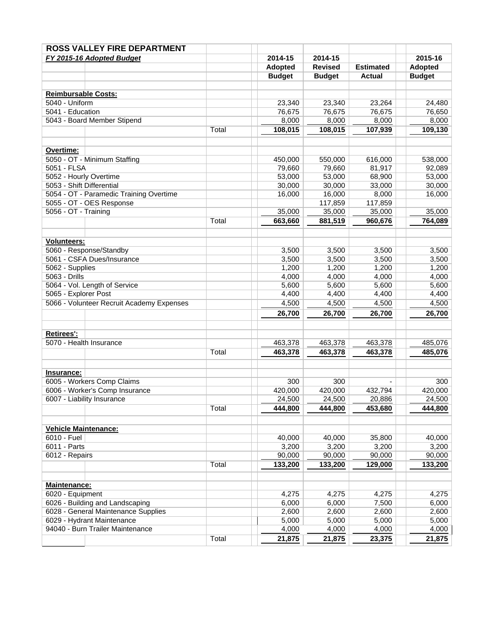| FY 2015-16 Adopted Budget                 |       | 2014-15           | 2014-15           |                   | 2015-16           |
|-------------------------------------------|-------|-------------------|-------------------|-------------------|-------------------|
|                                           |       | <b>Adopted</b>    | <b>Revised</b>    | <b>Estimated</b>  | <b>Adopted</b>    |
|                                           |       | <b>Budget</b>     | <b>Budget</b>     | <b>Actual</b>     | <b>Budget</b>     |
|                                           |       |                   |                   |                   |                   |
| <b>Reimbursable Costs:</b>                |       |                   |                   |                   |                   |
| 5040 - Uniform                            |       | 23,340            | 23,340            | 23,264            | 24,480            |
| 5041 - Education                          |       | 76,675            | 76,675            | 76,675            | 76,650            |
| 5043 - Board Member Stipend               |       | 8,000             | 8,000             | 8,000             | 8,000             |
|                                           | Total | 108,015           | 108,015           | 107,939           | 109,130           |
| Overtime:                                 |       |                   |                   |                   |                   |
| 5050 - OT - Minimum Staffing              |       | 450,000           | 550,000           | 616,000           | 538,000           |
| 5051 - FLSA                               |       | 79,660            | 79,660            | 81,917            | 92,089            |
| 5052 - Hourly Overtime                    |       | 53,000            | 53,000            | 68,900            | 53,000            |
| 5053 - Shift Differential                 |       | 30,000            | 30,000            | 33,000            | 30,000            |
| 5054 - OT - Paramedic Training Overtime   |       | 16,000            | 16,000            | 8,000             | 16,000            |
| 5055 - OT - OES Response                  |       |                   | 117,859           | 117,859           |                   |
| 5056 - OT - Training                      |       | 35,000            | 35,000            | 35,000            | 35,000            |
|                                           | Total | 663,660           | 881,519           | 960,676           | 764,089           |
|                                           |       |                   |                   |                   |                   |
| <b>Volunteers:</b>                        |       |                   |                   |                   |                   |
| 5060 - Response/Standby                   |       | 3,500             | 3,500             | 3,500             | 3,500             |
| 5061 - CSFA Dues/Insurance                |       | 3,500             | 3,500             | 3,500             | 3,500             |
| 5062 - Supplies                           |       | 1,200             | 1,200             | 1,200             | 1,200             |
| 5063 - Drills                             |       | 4,000             | 4,000             | 4,000             | 4,000             |
| 5064 - Vol. Length of Service             |       | 5,600             | 5,600             | 5,600             | 5,600             |
| 5065 - Explorer Post                      |       | 4,400             | 4,400             | 4,400             | 4,400             |
| 5066 - Volunteer Recruit Academy Expenses |       | 4,500             | 4,500             | 4,500             | 4,500             |
|                                           |       | 26,700            | 26,700            | 26,700            | 26,700            |
| <b>Retirees':</b>                         |       |                   |                   |                   |                   |
| 5070 - Health Insurance                   |       | 463,378           | 463,378           | 463,378           | 485,076           |
|                                           | Total | 463,378           | 463,378           | 463,378           | 485,076           |
|                                           |       |                   |                   |                   |                   |
| Insurance:<br>6005 - Workers Comp Claims  |       | 300               | 300               |                   | 300               |
| 6006 - Worker's Comp Insurance            |       | 420,000           | 420,000           | 432,794           | 420,000           |
| 6007 - Liability Insurance                |       | 24,500            | 24,500            | 20,886            | 24,500            |
|                                           | Total | 444,800           | 444,800           | 453,680           | 444,800           |
|                                           |       |                   |                   |                   |                   |
| <b>Vehicle Maintenance:</b>               |       |                   |                   |                   |                   |
| 6010 - Fuel                               |       | 40,000            | 40,000            | 35,800            | 40,000            |
| 6011 - Parts                              |       | 3,200             | 3,200             | 3,200             | 3,200             |
| 6012 - Repairs                            | Total | 90,000<br>133,200 | 90,000<br>133,200 | 90,000<br>129,000 | 90,000<br>133,200 |
|                                           |       |                   |                   |                   |                   |
| Maintenance:                              |       |                   |                   |                   |                   |
| 6020 - Equipment                          |       | 4,275             | 4,275             | 4,275             | 4,275             |
| 6026 - Building and Landscaping           |       | 6,000             | 6,000             | 7,500             | 6,000             |
| 6028 - General Maintenance Supplies       |       | 2,600             | 2,600             | 2,600             | 2,600             |
| 6029 - Hydrant Maintenance                |       | 5,000             | 5,000             | 5,000             | 5,000             |
| 94040 - Burn Trailer Maintenance          |       | 4,000             | 4,000             | 4,000             | 4,000             |
|                                           | Total | 21,875            | 21,875            | 23,375            | 21,875            |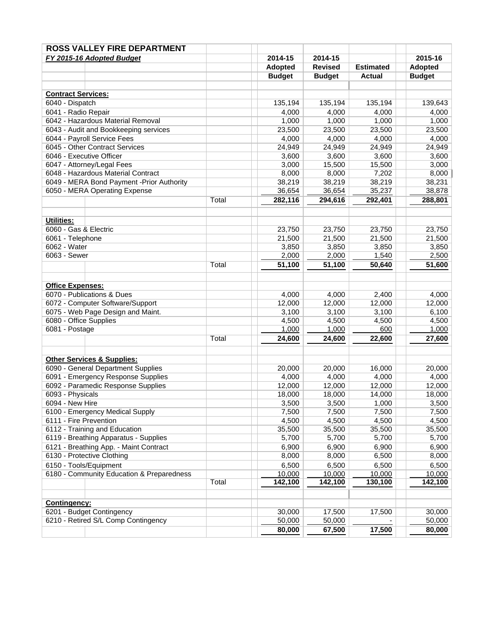| FY 2015-16 Adopted Budget                                        |       | 2014-15        | 2014-15        |                  | 2015-16        |
|------------------------------------------------------------------|-------|----------------|----------------|------------------|----------------|
|                                                                  |       | <b>Adopted</b> | <b>Revised</b> | <b>Estimated</b> | <b>Adopted</b> |
|                                                                  |       | <b>Budget</b>  | <b>Budget</b>  | Actual           | <b>Budget</b>  |
| <b>Contract Services:</b>                                        |       |                |                |                  |                |
| 6040 - Dispatch                                                  |       | 135,194        | 135,194        | 135,194          | 139,643        |
| 6041 - Radio Repair                                              |       | 4,000          | 4,000          | 4,000            | 4,000          |
| 6042 - Hazardous Material Removal                                |       | 1,000          | 1,000          | 1,000            | 1,000          |
| 6043 - Audit and Bookkeeping services                            |       | 23,500         | 23,500         | 23,500           | 23,500         |
| 6044 - Payroll Service Fees                                      |       | 4,000          | 4,000          | 4,000            | 4,000          |
| 6045 - Other Contract Services                                   |       | 24,949         | 24,949         | 24,949           | 24,949         |
| 6046 - Executive Officer                                         |       | 3,600          | 3,600          | 3,600            | 3,600          |
| 6047 - Attorney/Legal Fees                                       |       | 3,000          | 15,500         | 15,500           | 3,000          |
| 6048 - Hazardous Material Contract                               |       | 8,000          | 8,000          | 7,202            | 8,000          |
| 6049 - MERA Bond Payment - Prior Authority                       |       | 38,219         | 38,219         | 38,219           | 38,231         |
| 6050 - MERA Operating Expense                                    |       | 36,654         | 36,654         | 35,237           | 38,878         |
|                                                                  | Total | 282,116        | 294,616        | 292,401          | 288,801        |
|                                                                  |       |                |                |                  |                |
| <b>Utilities:</b><br>6060 - Gas & Electric                       |       | 23,750         | 23,750         | 23,750           | 23,750         |
| 6061 - Telephone                                                 |       | 21,500         | 21,500         | 21,500           | 21,500         |
| 6062 - Water                                                     |       | 3,850          | 3,850          | 3,850            | 3,850          |
| 6063 - Sewer                                                     |       | 2,000          | 2,000          | 1,540            | 2,500          |
|                                                                  | Total | 51,100         | 51,100         | 50,640           | 51,600         |
|                                                                  |       |                |                |                  |                |
| <b>Office Expenses:</b>                                          |       |                |                |                  |                |
| 6070 - Publications & Dues                                       |       | 4,000          | 4,000          | 2,400            | 4,000          |
| 6072 - Computer Software/Support                                 |       | 12,000         | 12,000         | 12,000           | 12,000         |
| 6075 - Web Page Design and Maint.                                |       | 3,100          | 3,100          | 3,100            | 6,100          |
| 6080 - Office Supplies                                           |       | 4,500          | 4,500          | 4,500            | 4,500          |
| 6081 - Postage                                                   |       | 1,000          | 1,000          | 600              | 1,000          |
|                                                                  | Total | 24,600         | 24,600         | 22,600           | 27,600         |
| <b>Other Services &amp; Supplies:</b>                            |       |                |                |                  |                |
| 6090 - General Department Supplies                               |       | 20,000         | 20,000         | 16,000           | 20,000         |
| 6091 - Emergency Response Supplies                               |       | 4,000          | 4,000          | 4,000            | 4,000          |
| 6092 - Paramedic Response Supplies                               |       | 12,000         | 12,000         | 12,000           | 12,000         |
| 6093 - Physicals                                                 |       | 18,000         | 18,000         | 14,000           | 18,000         |
| 6094 - New Hire                                                  |       | 3,500          | 3,500          | 1,000            | 3,500          |
| 6100 - Emergency Medical Supply                                  |       | 7,500          | 7,500          | 7,500            | 7,500          |
| 6111 - Fire Prevention                                           |       | 4,500          | 4,500          | 4,500            | 4,500          |
| 6112 - Training and Education                                    |       | 35,500         | 35,500         | 35,500           | 35,500         |
| 6119 - Breathing Apparatus - Supplies                            |       | 5,700          | 5,700          | 5,700            | 5,700          |
| 6121 - Breathing App. - Maint Contract                           |       | 6,900          | 6,900          | 6,900            | 6,900          |
| 6130 - Protective Clothing                                       |       | 8,000          | 8,000          | 6,500            | 8,000          |
| 6150 - Tools/Equipment                                           |       | 6,500          | 6,500          | 6,500            | 6,500          |
| 6180 - Community Education & Preparedness                        |       | 10,000         | 10,000         | 10,000           | 10,000         |
|                                                                  | Total | 142,100        | 142,100        | 130,100          | 142,100        |
|                                                                  |       |                |                |                  |                |
| Contingency:                                                     |       |                |                |                  |                |
| 6201 - Budget Contingency<br>6210 - Retired S/L Comp Contingency |       | 30,000         | 17,500         | 17,500           | 30,000         |
|                                                                  |       | 50,000         | 50,000         |                  | 50,000         |
|                                                                  |       | 80,000         | 67,500         | 17,500           | 80,000         |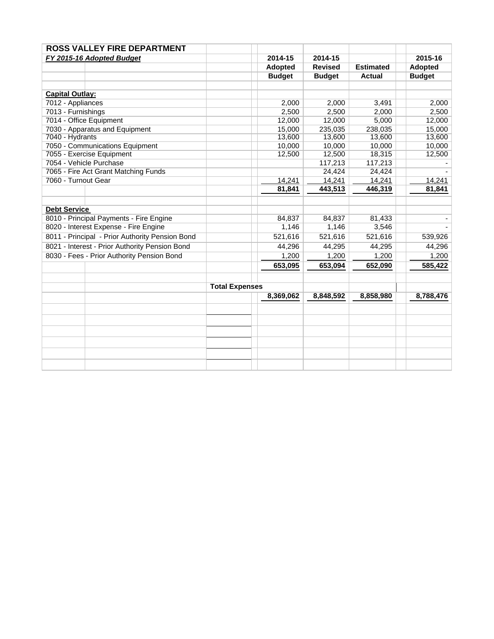|                                                 | <b>ROSS VALLEY FIRE DEPARTMENT</b>         |                       |                |                |                  |               |
|-------------------------------------------------|--------------------------------------------|-----------------------|----------------|----------------|------------------|---------------|
| FY 2015-16 Adopted Budget                       |                                            |                       | 2014-15        | 2014-15        |                  | 2015-16       |
|                                                 |                                            |                       | <b>Adopted</b> | <b>Revised</b> | <b>Estimated</b> | Adopted       |
|                                                 |                                            |                       | <b>Budget</b>  | <b>Budget</b>  | <b>Actual</b>    | <b>Budget</b> |
|                                                 |                                            |                       |                |                |                  |               |
| <b>Capital Outlay:</b>                          |                                            |                       |                |                |                  |               |
| 7012 - Appliances                               |                                            |                       | 2,000          | 2,000          | 3,491            | 2,000         |
| 7013 - Furnishings                              |                                            |                       | 2,500          | 2,500          | 2,000            | 2,500         |
|                                                 | 7014 - Office Equipment                    |                       | 12,000         | 12,000         | 5,000            | 12,000        |
|                                                 | 7030 - Apparatus and Equipment             |                       | 15,000         | 235,035        | 238,035          | 15,000        |
| 7040 - Hydrants                                 |                                            |                       | 13,600         | 13,600         | 13,600           | 13,600        |
|                                                 | 7050 - Communications Equipment            |                       | 10,000         | 10,000         | 10,000           | 10,000        |
|                                                 | 7055 - Exercise Equipment                  |                       | 12,500         | 12,500         | 18,315           | 12,500        |
|                                                 | 7054 - Vehicle Purchase                    |                       |                | 117,213        | 117,213          |               |
| 7065 - Fire Act Grant Matching Funds            |                                            |                       |                | 24,424         | 24,424           |               |
| 7060 - Turnout Gear                             |                                            |                       | 14,241         | 14,241         | 14,241           | 14,241        |
|                                                 |                                            |                       | 81,841         | 443,513        | 446,319          | 81,841        |
|                                                 |                                            |                       |                |                |                  |               |
| <b>Debt Service</b>                             |                                            |                       |                |                |                  |               |
|                                                 | 8010 - Principal Payments - Fire Engine    |                       | 84.837         | 84.837         | 81.433           |               |
|                                                 | 8020 - Interest Expense - Fire Engine      |                       | 1,146          | 1,146          | 3,546            |               |
| 8011 - Principal - Prior Authority Pension Bond |                                            |                       | 521,616        | 521,616        | 521,616          | 539,926       |
| 8021 - Interest - Prior Authority Pension Bond  |                                            |                       | 44,296         | 44,295         | 44,295           | 44,296        |
|                                                 | 8030 - Fees - Prior Authority Pension Bond |                       | 1,200          | 1,200          | 1,200            | 1,200         |
|                                                 |                                            |                       | 653,095        | 653,094        | 652,090          | 585,422       |
|                                                 |                                            |                       |                |                |                  |               |
|                                                 |                                            | <b>Total Expenses</b> |                |                |                  |               |
|                                                 |                                            |                       | 8,369,062      | 8,848,592      | 8,858,980        | 8,788,476     |
|                                                 |                                            |                       |                |                |                  |               |
|                                                 |                                            |                       |                |                |                  |               |
|                                                 |                                            |                       |                |                |                  |               |
|                                                 |                                            |                       |                |                |                  |               |
|                                                 |                                            |                       |                |                |                  |               |
|                                                 |                                            |                       |                |                |                  |               |